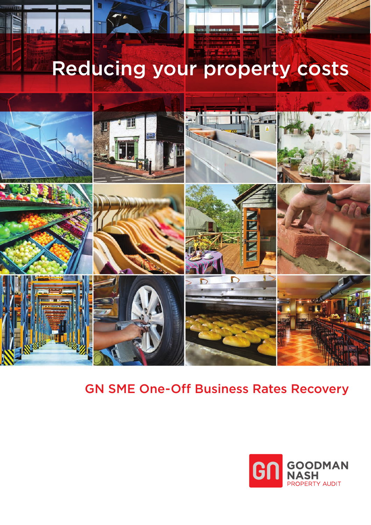# Reducing your property costs



## GN SME One-Off Business Rates Recovery